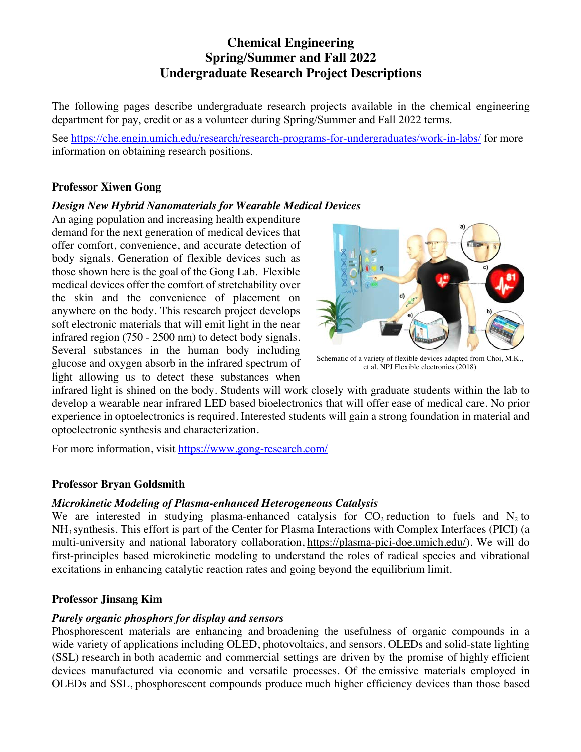# **Chemical Engineering Spring/Summer and Fall 2022 Undergraduate Research Project Descriptions**

The following pages describe undergraduate research projects available in the chemical engineering department for pay, credit or as a volunteer during Spring/Summer and Fall 2022 terms.

See https://che.engin.umich.edu/research/research-programs-for-undergraduates/work-in-labs/ for more information on obtaining research positions.

# **Professor Xiwen Gong**

# *Design New Hybrid Nanomaterials for Wearable Medical Devices*

An aging population and increasing health expenditure demand for the next generation of medical devices that offer comfort, convenience, and accurate detection of body signals. Generation of flexible devices such as those shown here is the goal of the Gong Lab. Flexible medical devices offer the comfort of stretchability over the skin and the convenience of placement on anywhere on the body. This research project develops soft electronic materials that will emit light in the near infrared region (750 - 2500 nm) to detect body signals. Several substances in the human body including glucose and oxygen absorb in the infrared spectrum of light allowing us to detect these substances when



Schematic of a variety of flexible devices adapted from Choi, M.K., et al. NPJ Flexible electronics (2018)

infrared light is shined on the body. Students will work closely with graduate students within the lab to develop a wearable near infrared LED based bioelectronics that will offer ease of medical care. No prior experience in optoelectronics is required. Interested students will gain a strong foundation in material and optoelectronic synthesis and characterization.

For more information, visit https://www.gong-research.com/

# **Professor Bryan Goldsmith**

# *Microkinetic Modeling of Plasma-enhanced Heterogeneous Catalysis*

We are interested in studying plasma-enhanced catalysis for  $CO_2$  reduction to fuels and  $N_2$  to NH3 synthesis. This effort is part of the Center for Plasma Interactions with Complex Interfaces (PICI) (a multi-university and national laboratory collaboration, https://plasma-pici-doe.umich.edu/). We will do first-principles based microkinetic modeling to understand the roles of radical species and vibrational excitations in enhancing catalytic reaction rates and going beyond the equilibrium limit.

# **Professor Jinsang Kim**

# *Purely organic phosphors for display and sensors*

Phosphorescent materials are enhancing and broadening the usefulness of organic compounds in a wide variety of applications including OLED, photovoltaics, and sensors. OLEDs and solid-state lighting (SSL) research in both academic and commercial settings are driven by the promise of highly efficient devices manufactured via economic and versatile processes. Of the emissive materials employed in OLEDs and SSL, phosphorescent compounds produce much higher efficiency devices than those based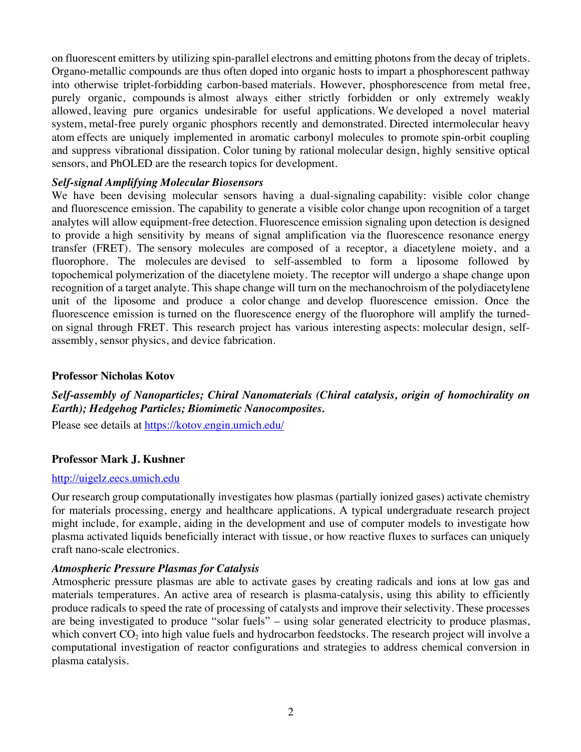on fluorescent emitters by utilizing spin-parallel electrons and emitting photons from the decay of triplets. Organo-metallic compounds are thus often doped into organic hosts to impart a phosphorescent pathway into otherwise triplet-forbidding carbon-based materials. However, phosphorescence from metal free, purely organic, compounds is almost always either strictly forbidden or only extremely weakly allowed, leaving pure organics undesirable for useful applications. We developed a novel material system, metal-free purely organic phosphors recently and demonstrated. Directed intermolecular heavy atom effects are uniquely implemented in aromatic carbonyl molecules to promote spin-orbit coupling and suppress vibrational dissipation. Color tuning by rational molecular design, highly sensitive optical sensors, and PhOLED are the research topics for development.

## *Self-signal Amplifying Molecular Biosensors*

We have been devising molecular sensors having a dual-signaling capability: visible color change and fluorescence emission. The capability to generate a visible color change upon recognition of a target analytes will allow equipment-free detection. Fluorescence emission signaling upon detection is designed to provide a high sensitivity by means of signal amplification via the fluorescence resonance energy transfer (FRET). The sensory molecules are composed of a receptor, a diacetylene moiety, and a fluorophore. The molecules are devised to self-assembled to form a liposome followed by topochemical polymerization of the diacetylene moiety. The receptor will undergo a shape change upon recognition of a target analyte. This shape change will turn on the mechanochroism of the polydiacetylene unit of the liposome and produce a color change and develop fluorescence emission. Once the fluorescence emission is turned on the fluorescence energy of the fluorophore will amplify the turnedon signal through FRET. This research project has various interesting aspects: molecular design, selfassembly, sensor physics, and device fabrication.

## **Professor Nicholas Kotov**

# *Self-assembly of Nanoparticles; Chiral Nanomaterials (Chiral catalysis, origin of homochirality on Earth); Hedgehog Particles; Biomimetic Nanocomposites.*

Please see details at https://kotov.engin.umich.edu/

## **Professor Mark J. Kushner**

#### http://uigelz.eecs.umich.edu

Our research group computationally investigates how plasmas (partially ionized gases) activate chemistry for materials processing, energy and healthcare applications. A typical undergraduate research project might include, for example, aiding in the development and use of computer models to investigate how plasma activated liquids beneficially interact with tissue, or how reactive fluxes to surfaces can uniquely craft nano-scale electronics.

## *Atmospheric Pressure Plasmas for Catalysis*

Atmospheric pressure plasmas are able to activate gases by creating radicals and ions at low gas and materials temperatures. An active area of research is plasma-catalysis, using this ability to efficiently produce radicals to speed the rate of processing of catalysts and improve their selectivity. These processes are being investigated to produce "solar fuels" – using solar generated electricity to produce plasmas, which convert  $CO<sub>2</sub>$  into high value fuels and hydrocarbon feedstocks. The research project will involve a computational investigation of reactor configurations and strategies to address chemical conversion in plasma catalysis.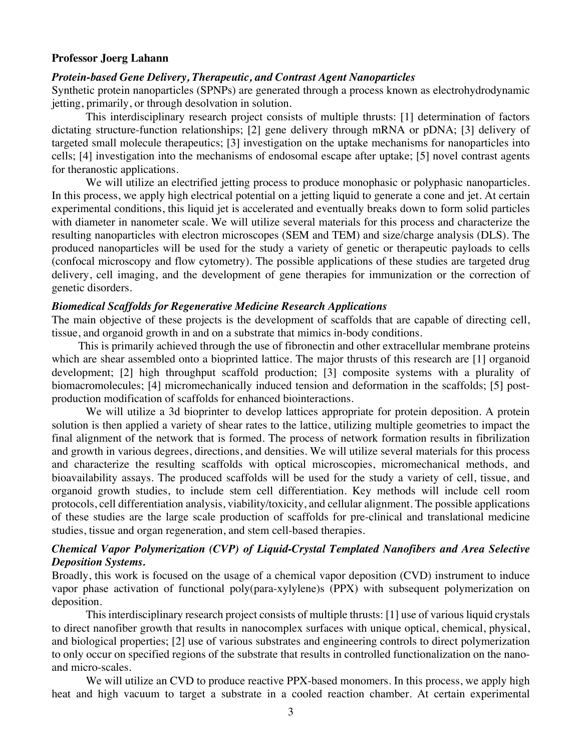#### **Professor Joerg Lahann**

#### *Protein-based Gene Delivery, Therapeutic, and Contrast Agent Nanoparticles*

Synthetic protein nanoparticles (SPNPs) are generated through a process known as electrohydrodynamic jetting, primarily, or through desolvation in solution.

This interdisciplinary research project consists of multiple thrusts: [1] determination of factors dictating structure-function relationships; [2] gene delivery through mRNA or pDNA; [3] delivery of targeted small molecule therapeutics; [3] investigation on the uptake mechanisms for nanoparticles into cells; [4] investigation into the mechanisms of endosomal escape after uptake; [5] novel contrast agents for theranostic applications.

We will utilize an electrified jetting process to produce monophasic or polyphasic nanoparticles. In this process, we apply high electrical potential on a jetting liquid to generate a cone and jet. At certain experimental conditions, this liquid jet is accelerated and eventually breaks down to form solid particles with diameter in nanometer scale. We will utilize several materials for this process and characterize the resulting nanoparticles with electron microscopes (SEM and TEM) and size/charge analysis (DLS). The produced nanoparticles will be used for the study a variety of genetic or therapeutic payloads to cells (confocal microscopy and flow cytometry). The possible applications of these studies are targeted drug delivery, cell imaging, and the development of gene therapies for immunization or the correction of genetic disorders.

#### *Biomedical Scaffolds for Regenerative Medicine Research Applications*

The main objective of these projects is the development of scaffolds that are capable of directing cell, tissue, and organoid growth in and on a substrate that mimics in-body conditions.

This is primarily achieved through the use of fibronectin and other extracellular membrane proteins which are shear assembled onto a bioprinted lattice. The major thrusts of this research are [1] organoid development; [2] high throughput scaffold production; [3] composite systems with a plurality of biomacromolecules; [4] micromechanically induced tension and deformation in the scaffolds; [5] postproduction modification of scaffolds for enhanced biointeractions.

We will utilize a 3d bioprinter to develop lattices appropriate for protein deposition. A protein solution is then applied a variety of shear rates to the lattice, utilizing multiple geometries to impact the final alignment of the network that is formed. The process of network formation results in fibrilization and growth in various degrees, directions, and densities. We will utilize several materials for this process and characterize the resulting scaffolds with optical microscopies, micromechanical methods, and bioavailability assays. The produced scaffolds will be used for the study a variety of cell, tissue, and organoid growth studies, to include stem cell differentiation. Key methods will include cell room protocols, cell differentiation analysis, viability/toxicity, and cellular alignment. The possible applications of these studies are the large scale production of scaffolds for pre-clinical and translational medicine studies, tissue and organ regeneration, and stem cell-based therapies.

## *Chemical Vapor Polymerization (CVP) of Liquid-Crystal Templated Nanofibers and Area Selective Deposition Systems.*

Broadly, this work is focused on the usage of a chemical vapor deposition (CVD) instrument to induce vapor phase activation of functional poly(para-xylylene)s (PPX) with subsequent polymerization on deposition.

This interdisciplinary research project consists of multiple thrusts: [1] use of various liquid crystals to direct nanofiber growth that results in nanocomplex surfaces with unique optical, chemical, physical, and biological properties; [2] use of various substrates and engineering controls to direct polymerization to only occur on specified regions of the substrate that results in controlled functionalization on the nanoand micro-scales.

We will utilize an CVD to produce reactive PPX-based monomers. In this process, we apply high heat and high vacuum to target a substrate in a cooled reaction chamber. At certain experimental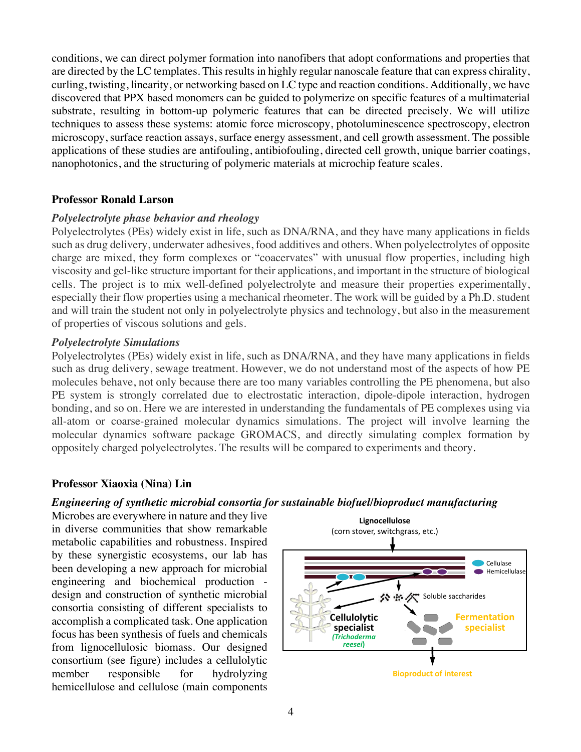conditions, we can direct polymer formation into nanofibers that adopt conformations and properties that are directed by the LC templates. This results in highly regular nanoscale feature that can express chirality, curling, twisting, linearity, or networking based on LC type and reaction conditions. Additionally, we have discovered that PPX based monomers can be guided to polymerize on specific features of a multimaterial substrate, resulting in bottom-up polymeric features that can be directed precisely. We will utilize techniques to assess these systems: atomic force microscopy, photoluminescence spectroscopy, electron microscopy, surface reaction assays, surface energy assessment, and cell growth assessment. The possible applications of these studies are antifouling, antibiofouling, directed cell growth, unique barrier coatings, nanophotonics, and the structuring of polymeric materials at microchip feature scales.

## **Professor Ronald Larson**

## *Polyelectrolyte phase behavior and rheology*

hemicellulose and cellulose (main components

Polyelectrolytes (PEs) widely exist in life, such as DNA/RNA, and they have many applications in fields such as drug delivery, underwater adhesives, food additives and others. When polyelectrolytes of opposite charge are mixed, they form complexes or "coacervates" with unusual flow properties, including high viscosity and gel-like structure important for their applications, and important in the structure of biological cells. The project is to mix well-defined polyelectrolyte and measure their properties experimentally, especially their flow properties using a mechanical rheometer. The work will be guided by a Ph.D. student and will train the student not only in polyelectrolyte physics and technology, but also in the measurement of properties of viscous solutions and gels.

## *Polyelectrolyte Simulations*

Polyelectrolytes (PEs) widely exist in life, such as DNA/RNA, and they have many applications in fields such as drug delivery, sewage treatment. However, we do not understand most of the aspects of how PE<br>molecules behave, not only because there are too many variables controlling the PE phenomena, but also molecules behave, not only because there are too many variables controlling the PE phenomena, but also PE system is strongly correlated due to electrostatic interaction, dipole-dipole interaction, hydrogen hemicellulose and the magnetic strongly correlated the products disc for demonstrated of DE complements and bonding, and so on. Here we are interested in understanding the fundamentals of PE complexes using via<br>all atom or coarse grained molecular dynamics, simulations. The project will involve learning the all-atom or coarse-grained molecular dynamics simulations. The project will involve learning the I so on. Here we are interested in understanding the fundamentals of PE complexe<br>coarse-grained molecular dynamics simulations. The project will involve let uynamics sin Partially hydrolyzed during are interested in understanding the fundamentals of 1 E complexes using via<br>molecular dynamics simulations. The project will involve learning the

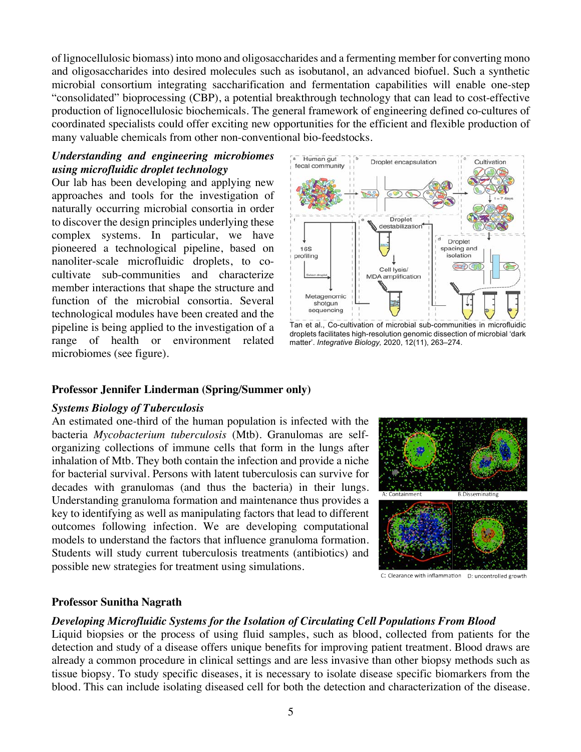of lignocellulosic biomass) into mono and oligosaccharides and a fermenting member for converting mono and oligosaccharides into desired molecules such as isobutanol, an advanced biofuel. Such a synthetic microbial consortium integrating saccharification and fermentation capabilities will enable one-step "consolidated" bioprocessing (CBP), a potential breakthrough technology that can lead to cost-effective production of lignocellulosic biochemicals. The general framework of engineering defined co-cultures of coordinated specialists could offer exciting new opportunities for the efficient and flexible production of many valuable chemicals from other non-conventional bio-feedstocks.

# *Understanding and engineering microbiomes using microfluidic droplet technology*

Our lab has been developing and applying new approaches and tools for the investigation of naturally occurring microbial consortia in order to discover the design principles underlying these complex systems. In particular, we have pioneered a technological pipeline, based on nanoliter-scale microfluidic droplets, to cocultivate sub-communities and characterize member interactions that shape the structure and function of the microbial consortia. Several technological modules have been created and the pipeline is being applied to the investigation of a range of health or environment related microbiomes (see figure).



Tan et al., Co-cultivation of microbial sub-communities in microfluidic droplets facilitates high-resolution genomic dissection of microbial 'dark matter'. *Integrative Biology,* 2020, 12(11), 263–274.

## **Professor Jennifer Linderman (Spring/Summer only)**

## *Systems Biology of Tuberculosis*

An estimated one-third of the human population is infected with the bacteria *Mycobacterium tuberculosis* (Mtb). Granulomas are selforganizing collections of immune cells that form in the lungs after inhalation of Mtb. They both contain the infection and provide a niche for bacterial survival. Persons with latent tuberculosis can survive for decades with granulomas (and thus the bacteria) in their lungs. Understanding granuloma formation and maintenance thus provides a key to identifying as well as manipulating factors that lead to different outcomes following infection. We are developing computational models to understand the factors that influence granuloma formation. Students will study current tuberculosis treatments (antibiotics) and possible new strategies for treatment using simulations.



C: Clearance with inflammation D: uncontrolled growth

## **Professor Sunitha Nagrath**

## *Developing Microfluidic Systems for the Isolation of Circulating Cell Populations From Blood*

Liquid biopsies or the process of using fluid samples, such as blood, collected from patients for the detection and study of a disease offers unique benefits for improving patient treatment. Blood draws are already a common procedure in clinical settings and are less invasive than other biopsy methods such as tissue biopsy. To study specific diseases, it is necessary to isolate disease specific biomarkers from the blood. This can include isolating diseased cell for both the detection and characterization of the disease.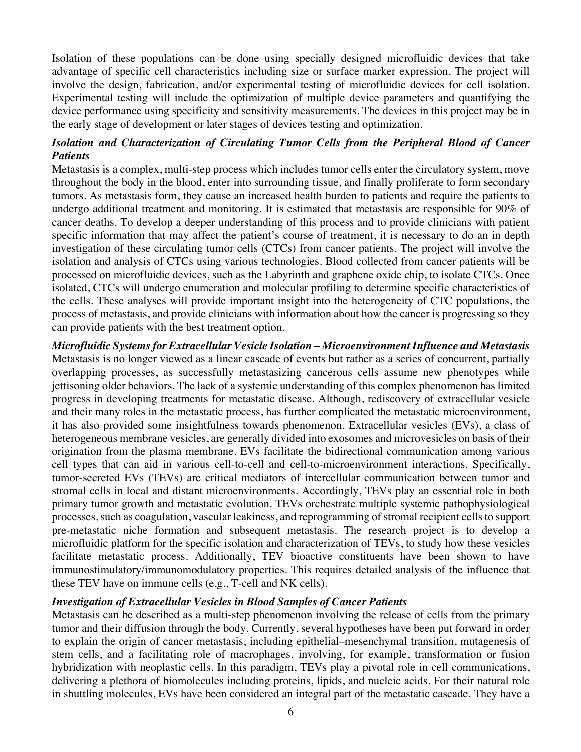Isolation of these populations can be done using specially designed microfluidic devices that take advantage of specific cell characteristics including size or surface marker expression. The project will involve the design, fabrication, and/or experimental testing of microfluidic devices for cell isolation. Experimental testing will include the optimization of multiple device parameters and quantifying the device performance using specificity and sensitivity measurements. The devices in this project may be in the early stage of development or later stages of devices testing and optimization.

## *Isolation and Characterization of Circulating Tumor Cells from the Peripheral Blood of Cancer Patients*

Metastasis is a complex, multi-step process which includes tumor cells enter the circulatory system, move throughout the body in the blood, enter into surrounding tissue, and finally proliferate to form secondary tumors. As metastasis form, they cause an increased health burden to patients and require the patients to undergo additional treatment and monitoring. It is estimated that metastasis are responsible for 90% of cancer deaths. To develop a deeper understanding of this process and to provide clinicians with patient specific information that may affect the patient's course of treatment, it is necessary to do an in depth investigation of these circulating tumor cells (CTCs) from cancer patients. The project will involve the isolation and analysis of CTCs using various technologies. Blood collected from cancer patients will be processed on microfluidic devices, such as the Labyrinth and graphene oxide chip, to isolate CTCs. Once isolated, CTCs will undergo enumeration and molecular profiling to determine specific characteristics of the cells. These analyses will provide important insight into the heterogeneity of CTC populations, the process of metastasis, and provide clinicians with information about how the cancer is progressing so they can provide patients with the best treatment option.

*Microfluidic Systems for Extracellular Vesicle Isolation – Microenvironment Influence and Metastasis* Metastasis is no longer viewed as a linear cascade of events but rather as a series of concurrent, partially overlapping processes, as successfully metastasizing cancerous cells assume new phenotypes while jettisoning older behaviors. The lack of a systemic understanding of this complex phenomenon has limited progress in developing treatments for metastatic disease. Although, rediscovery of extracellular vesicle and their many roles in the metastatic process, has further complicated the metastatic microenvironment, it has also provided some insightfulness towards phenomenon. Extracellular vesicles (EVs), a class of heterogeneous membrane vesicles, are generally divided into exosomes and microvesicles on basis of their origination from the plasma membrane. EVs facilitate the bidirectional communication among various cell types that can aid in various cell-to-cell and cell-to-microenvironment interactions. Specifically, tumor-secreted EVs (TEVs) are critical mediators of intercellular communication between tumor and stromal cells in local and distant microenvironments. Accordingly, TEVs play an essential role in both primary tumor growth and metastatic evolution. TEVs orchestrate multiple systemic pathophysiological processes, such as coagulation, vascular leakiness, and reprogramming of stromal recipient cells to support pre-metastatic niche formation and subsequent metastasis. The research project is to develop a microfluidic platform for the specific isolation and characterization of TEVs, to study how these vesicles facilitate metastatic process. Additionally, TEV bioactive constituents have been shown to have immunostimulatory/immunomodulatory properties. This requires detailed analysis of the influence that these TEV have on immune cells (e.g., T-cell and NK cells).

## *Investigation of Extracellular Vesicles in Blood Samples of Cancer Patients*

Metastasis can be described as a multi-step phenomenon involving the release of cells from the primary tumor and their diffusion through the body. Currently, several hypotheses have been put forward in order to explain the origin of cancer metastasis, including epithelial–mesenchymal transition, mutagenesis of stem cells, and a facilitating role of macrophages, involving, for example, transformation or fusion hybridization with neoplastic cells. In this paradigm, TEVs play a pivotal role in cell communications, delivering a plethora of biomolecules including proteins, lipids, and nucleic acids. For their natural role in shuttling molecules, EVs have been considered an integral part of the metastatic cascade. They have a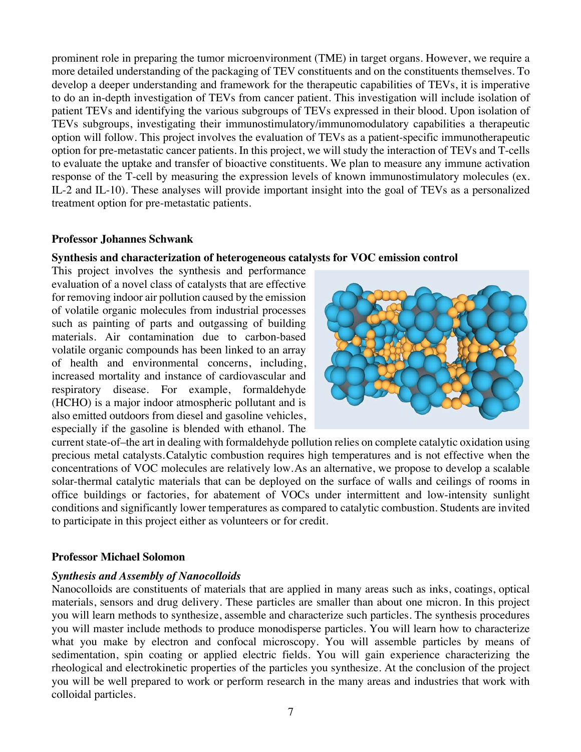prominent role in preparing the tumor microenvironment (TME) in target organs. However, we require a more detailed understanding of the packaging of TEV constituents and on the constituents themselves. To develop a deeper understanding and framework for the therapeutic capabilities of TEVs, it is imperative to do an in-depth investigation of TEVs from cancer patient. This investigation will include isolation of patient TEVs and identifying the various subgroups of TEVs expressed in their blood. Upon isolation of TEVs subgroups, investigating their immunostimulatory/immunomodulatory capabilities a therapeutic option will follow. This project involves the evaluation of TEVs as a patient-specific immunotherapeutic option for pre-metastatic cancer patients. In this project, we will study the interaction of TEVs and T-cells to evaluate the uptake and transfer of bioactive constituents. We plan to measure any immune activation response of the T-cell by measuring the expression levels of known immunostimulatory molecules (ex. IL-2 and IL-10). These analyses will provide important insight into the goal of TEVs as a personalized treatment option for pre-metastatic patients.

#### **Professor Johannes Schwank**

#### **Synthesis and characterization of heterogeneous catalysts for VOC emission control**

This project involves the synthesis and performance evaluation of a novel class of catalysts that are effective for removing indoor air pollution caused by the emission of volatile organic molecules from industrial processes such as painting of parts and outgassing of building materials. Air contamination due to carbon-based volatile organic compounds has been linked to an array of health and environmental concerns, including, increased mortality and instance of cardiovascular and respiratory disease. For example, formaldehyde (HCHO) is a major indoor atmospheric pollutant and is also emitted outdoors from diesel and gasoline vehicles, especially if the gasoline is blended with ethanol. The



current state-of–the art in dealing with formaldehyde pollution relies on complete catalytic oxidation using precious metal catalysts.Catalytic combustion requires high temperatures and is not effective when the concentrations of VOC molecules are relatively low.As an alternative, we propose to develop a scalable solar-thermal catalytic materials that can be deployed on the surface of walls and ceilings of rooms in office buildings or factories, for abatement of VOCs under intermittent and low-intensity sunlight conditions and significantly lower temperatures as compared to catalytic combustion. Students are invited to participate in this project either as volunteers or for credit.

## **Professor Michael Solomon**

## *Synthesis and Assembly of Nanocolloids*

Nanocolloids are constituents of materials that are applied in many areas such as inks, coatings, optical materials, sensors and drug delivery. These particles are smaller than about one micron. In this project you will learn methods to synthesize, assemble and characterize such particles. The synthesis procedures you will master include methods to produce monodisperse particles. You will learn how to characterize what you make by electron and confocal microscopy. You will assemble particles by means of sedimentation, spin coating or applied electric fields. You will gain experience characterizing the rheological and electrokinetic properties of the particles you synthesize. At the conclusion of the project you will be well prepared to work or perform research in the many areas and industries that work with colloidal particles.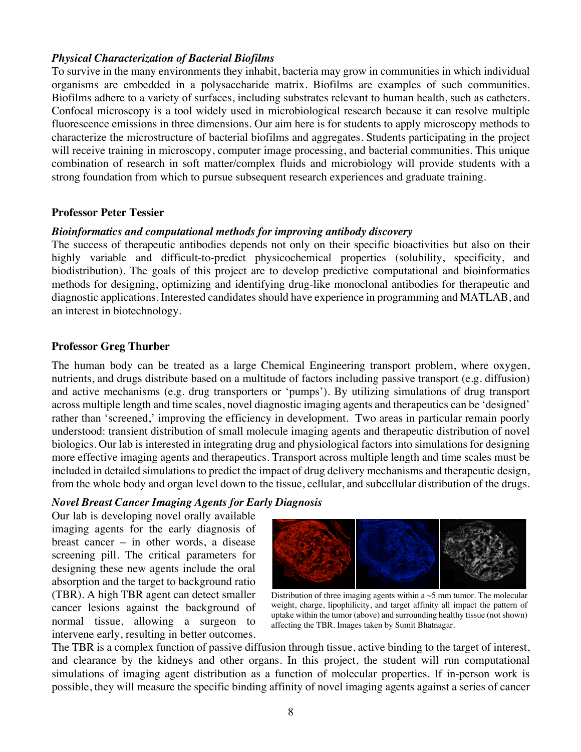## *Physical Characterization of Bacterial Biofilms*

To survive in the many environments they inhabit, bacteria may grow in communities in which individual organisms are embedded in a polysaccharide matrix. Biofilms are examples of such communities. Biofilms adhere to a variety of surfaces, including substrates relevant to human health, such as catheters. Confocal microscopy is a tool widely used in microbiological research because it can resolve multiple fluorescence emissions in three dimensions. Our aim here is for students to apply microscopy methods to characterize the microstructure of bacterial biofilms and aggregates. Students participating in the project will receive training in microscopy, computer image processing, and bacterial communities. This unique combination of research in soft matter/complex fluids and microbiology will provide students with a strong foundation from which to pursue subsequent research experiences and graduate training.

#### **Professor Peter Tessier**

#### *Bioinformatics and computational methods for improving antibody discovery*

The success of therapeutic antibodies depends not only on their specific bioactivities but also on their highly variable and difficult-to-predict physicochemical properties (solubility, specificity, and biodistribution). The goals of this project are to develop predictive computational and bioinformatics methods for designing, optimizing and identifying drug-like monoclonal antibodies for therapeutic and diagnostic applications. Interested candidates should have experience in programming and MATLAB, and an interest in biotechnology.

#### **Professor Greg Thurber**

The human body can be treated as a large Chemical Engineering transport problem, where oxygen, nutrients, and drugs distribute based on a multitude of factors including passive transport (e.g. diffusion) and active mechanisms (e.g. drug transporters or 'pumps'). By utilizing simulations of drug transport across multiple length and time scales, novel diagnostic imaging agents and therapeutics can be 'designed' rather than 'screened,' improving the efficiency in development. Two areas in particular remain poorly understood: transient distribution of small molecule imaging agents and therapeutic distribution of novel biologics. Our lab is interested in integrating drug and physiological factors into simulations for designing more effective imaging agents and therapeutics. Transport across multiple length and time scales must be included in detailed simulations to predict the impact of drug delivery mechanisms and therapeutic design, from the whole body and organ level down to the tissue, cellular, and subcellular distribution of the drugs.

## *Novel Breast Cancer Imaging Agents for Early Diagnosis*

Our lab is developing novel orally available imaging agents for the early diagnosis of breast cancer – in other words, a disease screening pill. The critical parameters for designing these new agents include the oral absorption and the target to background ratio (TBR). A high TBR agent can detect smaller cancer lesions against the background of normal tissue, allowing a surgeon to intervene early, resulting in better outcomes.



Distribution of three imaging agents within a  $\sim$  5 mm tumor. The molecular weight, charge, lipophilicity, and target affinity all impact the pattern of uptake within the tumor (above) and surrounding healthy tissue (not shown) affecting the TBR. Images taken by Sumit Bhatnagar.

The TBR is a complex function of passive diffusion through tissue, active binding to the target of interest, and clearance by the kidneys and other organs. In this project, the student will run computational simulations of imaging agent distribution as a function of molecular properties. If in-person work is possible, they will measure the specific binding affinity of novel imaging agents against a series of cancer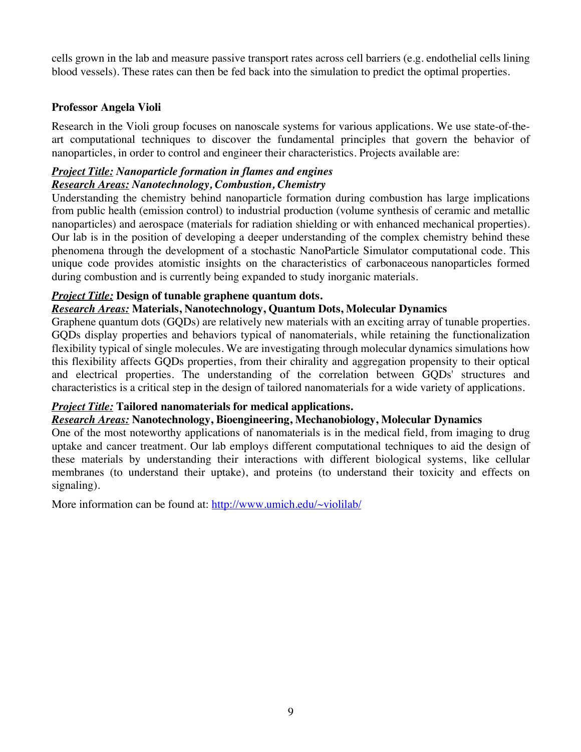cells grown in the lab and measure passive transport rates across cell barriers (e.g. endothelial cells lining blood vessels). These rates can then be fed back into the simulation to predict the optimal properties.

## **Professor Angela Violi**

Research in the Violi group focuses on nanoscale systems for various applications. We use state-of-theart computational techniques to discover the fundamental principles that govern the behavior of nanoparticles, in order to control and engineer their characteristics. Projects available are:

## *Project Title: Nanoparticle formation in flames and engines Research Areas: Nanotechnology, Combustion, Chemistry*

Understanding the chemistry behind nanoparticle formation during combustion has large implications from public health (emission control) to industrial production (volume synthesis of ceramic and metallic nanoparticles) and aerospace (materials for radiation shielding or with enhanced mechanical properties). Our lab is in the position of developing a deeper understanding of the complex chemistry behind these phenomena through the development of a stochastic NanoParticle Simulator computational code. This unique code provides atomistic insights on the characteristics of carbonaceous nanoparticles formed during combustion and is currently being expanded to study inorganic materials.

## *Project Title:* **Design of tunable graphene quantum dots.**

## *Research Areas:* **Materials, Nanotechnology, Quantum Dots, Molecular Dynamics**

Graphene quantum dots (GQDs) are relatively new materials with an exciting array of tunable properties. GQDs display properties and behaviors typical of nanomaterials, while retaining the functionalization flexibility typical of single molecules. We are investigating through molecular dynamics simulations how this flexibility affects GQDs properties, from their chirality and aggregation propensity to their optical and electrical properties. The understanding of the correlation between GQDs' structures and characteristics is a critical step in the design of tailored nanomaterials for a wide variety of applications.

# *Project Title:* **Tailored nanomaterials for medical applications.**

## *Research Areas:* **Nanotechnology, Bioengineering, Mechanobiology, Molecular Dynamics**

One of the most noteworthy applications of nanomaterials is in the medical field, from imaging to drug uptake and cancer treatment. Our lab employs different computational techniques to aid the design of these materials by understanding their interactions with different biological systems, like cellular membranes (to understand their uptake), and proteins (to understand their toxicity and effects on signaling).

More information can be found at: http://www.umich.edu/~violilab/